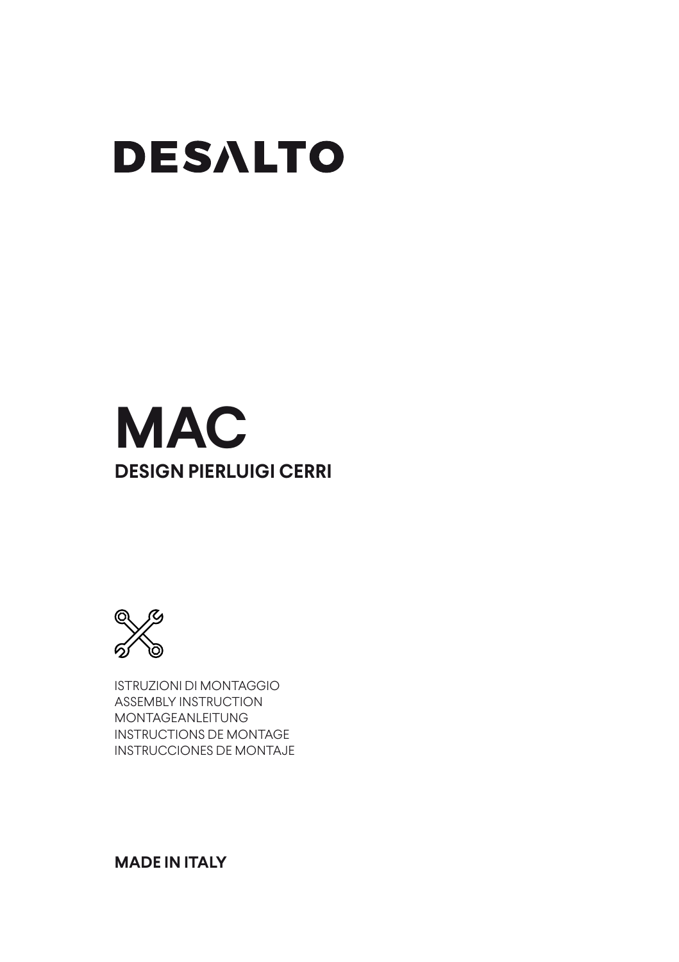# **DESALTO**

## **MAC DESIGN PIERLUIGI CERRI**



ISTRUZIONI DI MONTAGGIO ASSEMBLY INSTRUCTION MONTAGEANLEITUNG INSTRUCTIONS DE MONTAGE INSTRUCCIONES DE MONTAJE

### **MADE IN ITALY**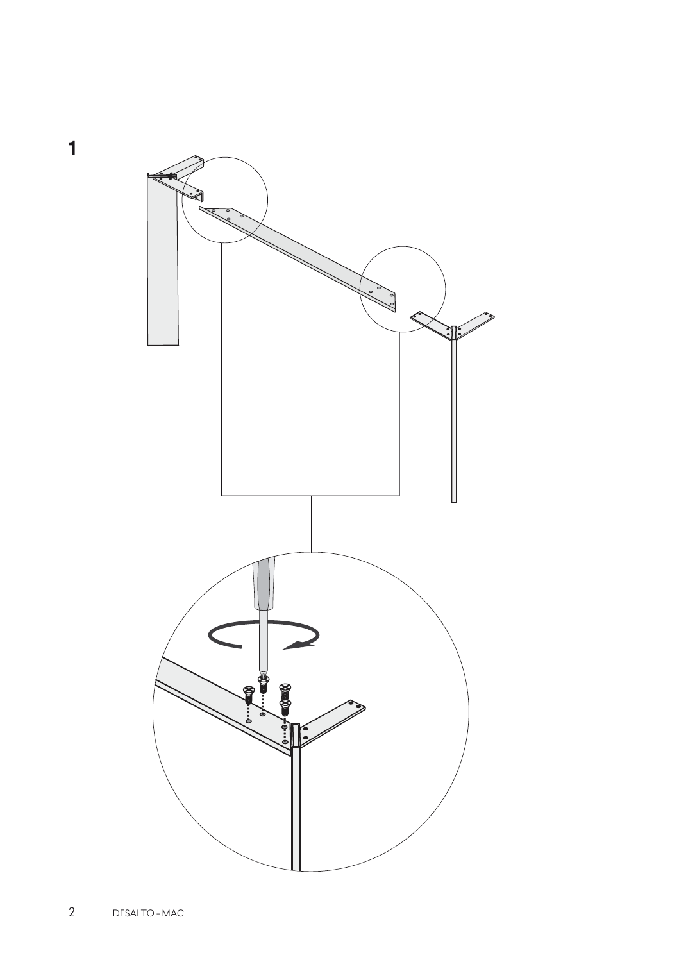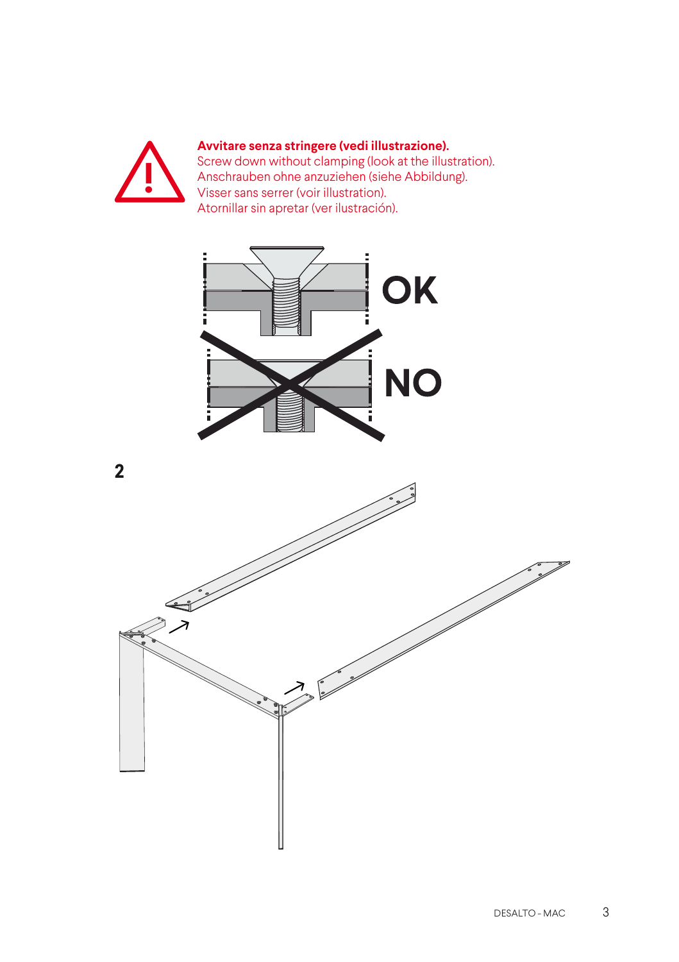

#### **Avvitare senza stringere (vedi illustrazione).**

Screw down without clamping (look at the illustration). Anschrauben ohne anzuziehen (siehe Abbildung). Visser sans serrer (voir illustration). Atornillar sin apretar (ver ilustración).





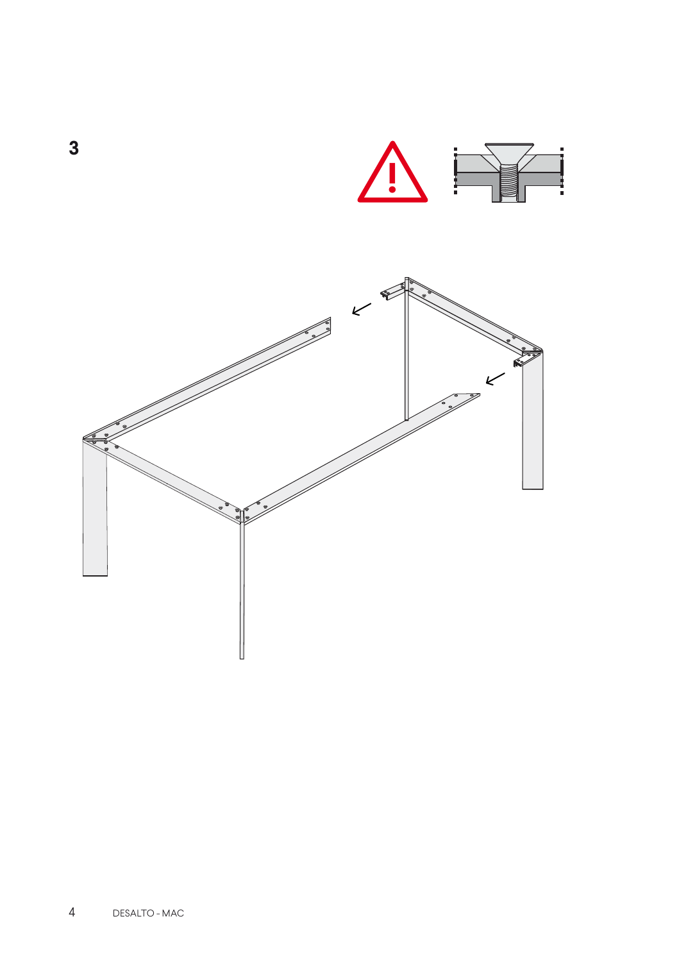

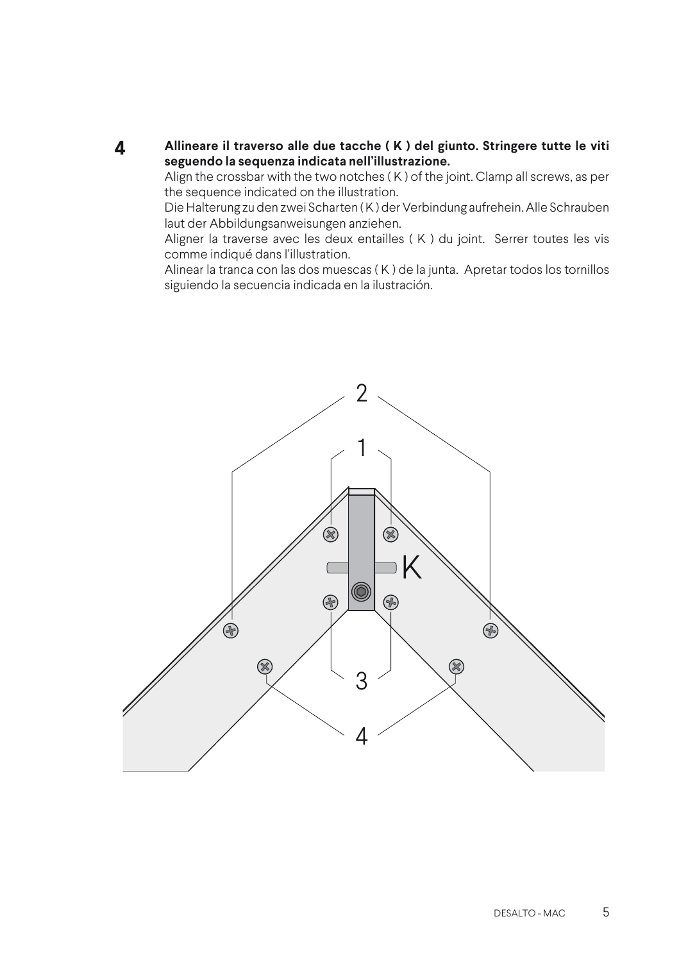**4 Allineare il traverso alle due tacche ( K ) del giunto. Stringere tutte le viti seguendo la sequenza indicata nell'illustrazione.**

Align the crossbar with the two notches ( K ) of the joint. Clamp all screws, as per the sequence indicated on the illustration.

Die Halterung zu den zwei Scharten ( K ) der Verbindung aufrehein. Alle Schrauben laut der Abbildungsanweisungen anziehen.

Aligner la traverse avec les deux entailles ( K ) du joint. Serrer toutes les vis comme indiqué dans l'illustration.

Alinear la tranca con las dos muescas ( K ) de la junta. Apretar todos los tornillos siguiendo la secuencia indicada en la ilustración.

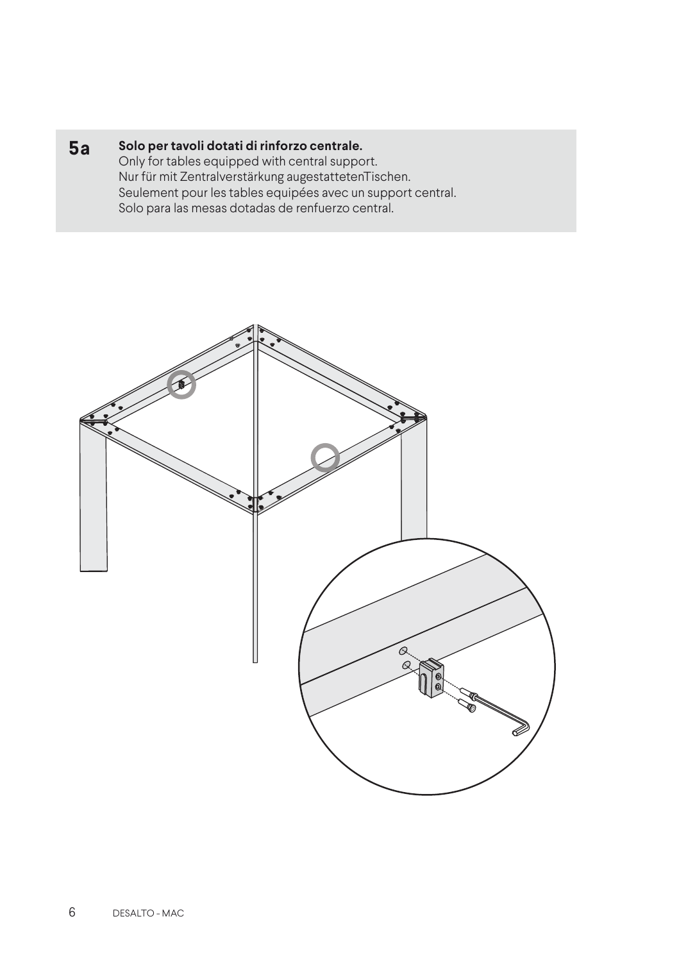#### **5a Solo per tavoli dotati di rinforzo centrale.**

Only for tables equipped with central support. Nur für mit Zentralverstärkung augestattetenTischen. Seulement pour les tables equipées avec un support central. Solo para las mesas dotadas de renfuerzo central.

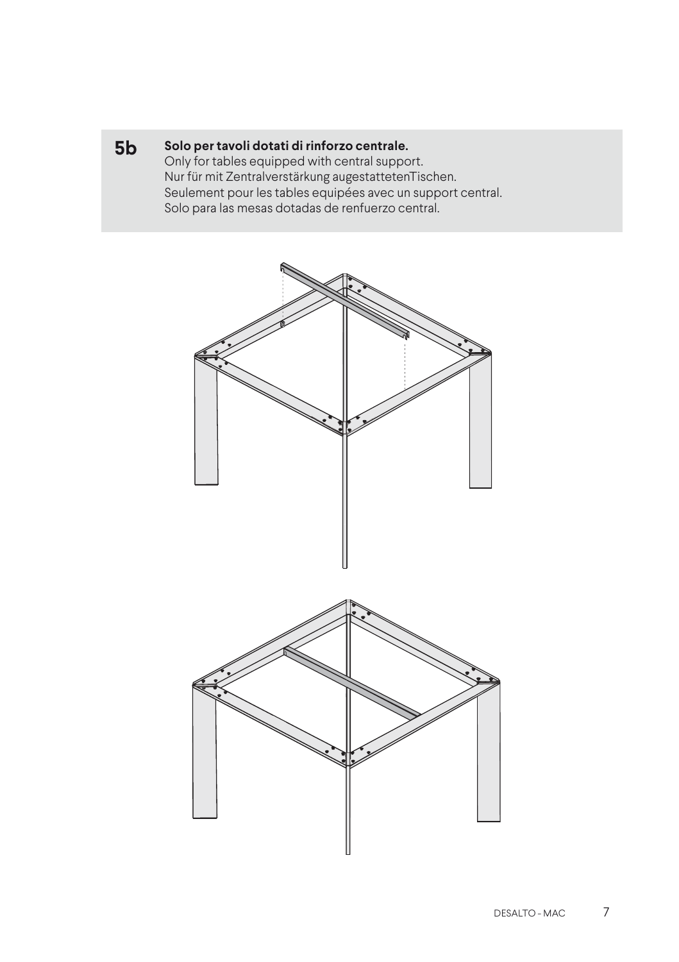#### **5b Solo per tavoli dotati di rinforzo centrale.**

Only for tables equipped with central support. Nur für mit Zentralverstärkung augestattetenTischen. Seulement pour les tables equipées avec un support central. Solo para las mesas dotadas de renfuerzo central.

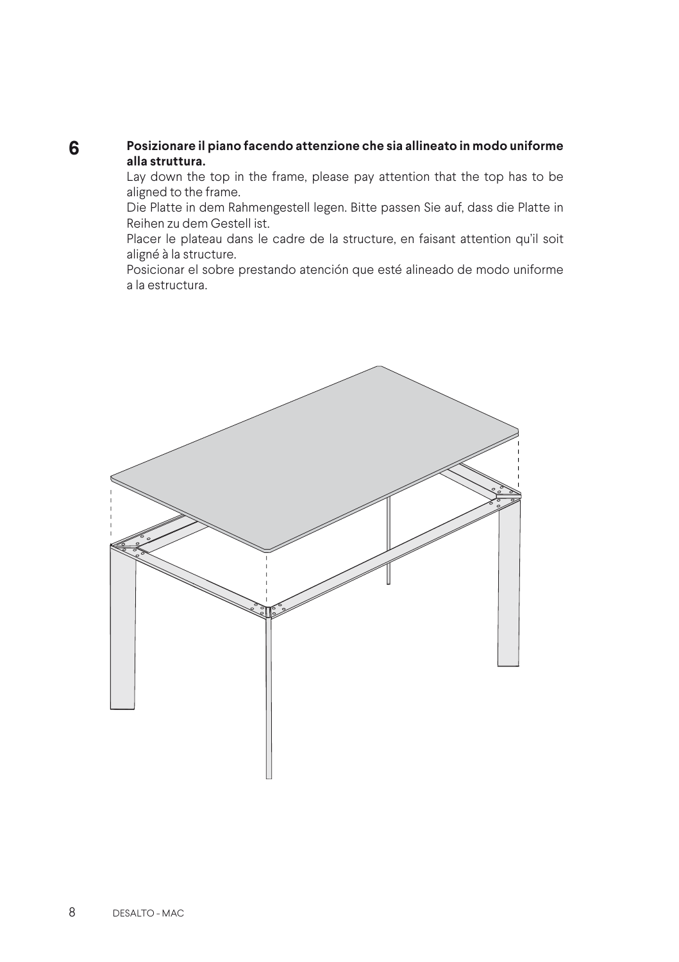#### **Posizionare il piano facendo attenzione che sia allineato in modo uniforme alla struttura. 6**

Lay down the top in the frame, please pay attention that the top has to be aligned to the frame.

Die Platte in dem Rahmengestell legen. Bitte passen Sie auf, dass die Platte in Reihen zu dem Gestell ist.

Placer le plateau dans le cadre de la structure, en faisant attention qu'il soit aligné à la structure.

Posicionar el sobre prestando atención que esté alineado de modo uniforme a la estructura.

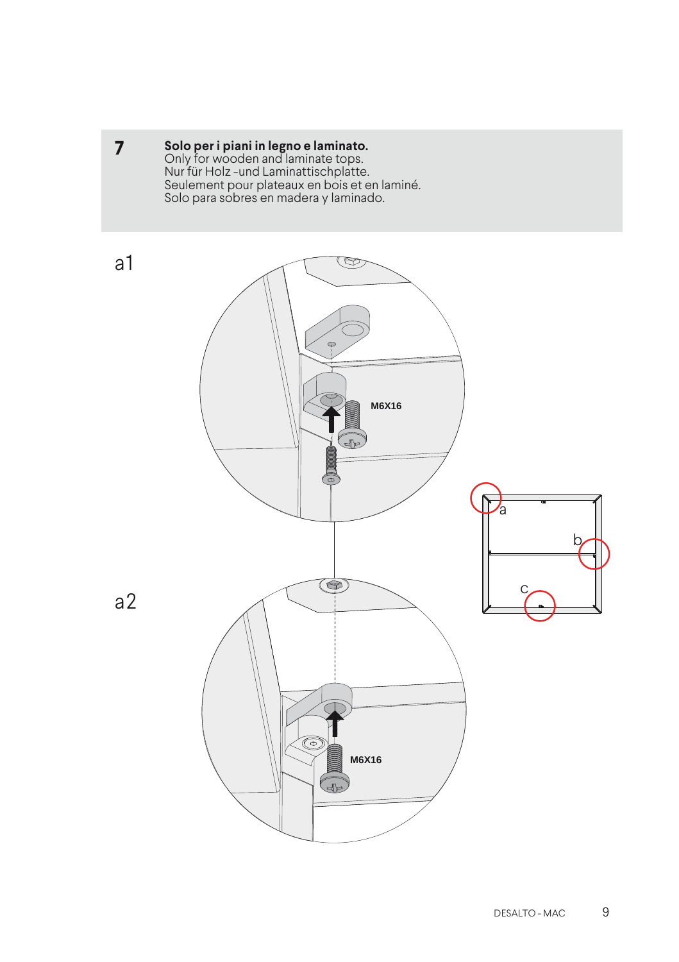**7 Solo per i piani in legno e laminato.**<br>Only for wooden and laminate tops. Nur für Holz -und Laminattischplatte. Seulement pour plateaux en bois et en laminé. Solo para sobres en madera y laminado.



a2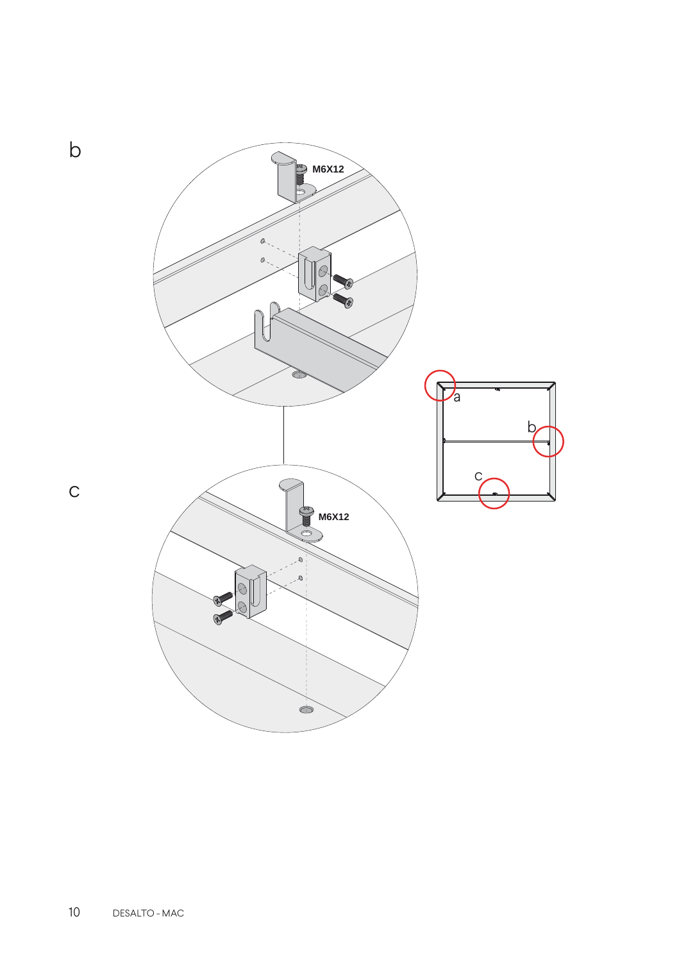